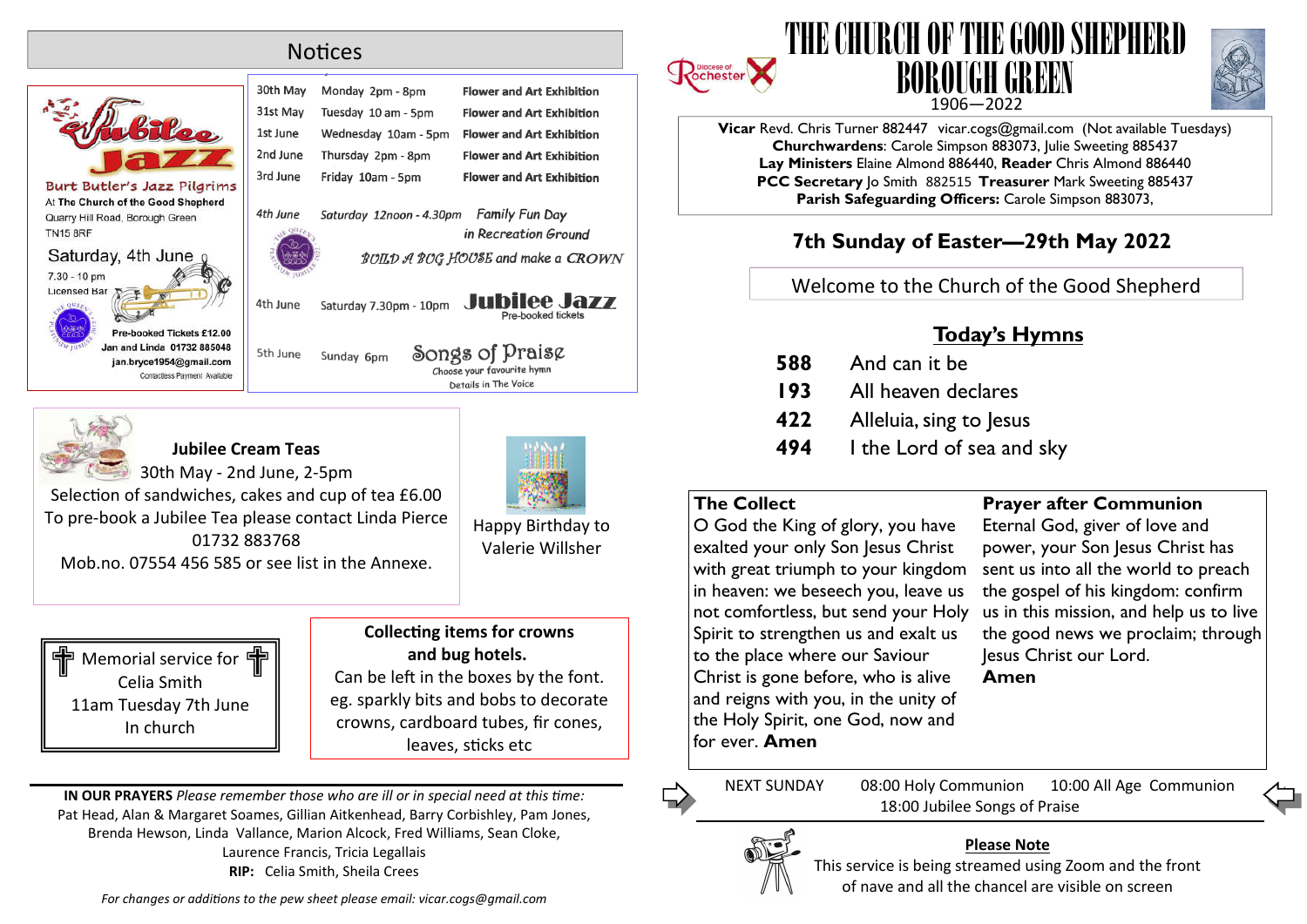# **Notices**

|                                                                                                                    | 30th May | Monday 2pm - 8pm         | <b>Flower and Art Exhibition</b>                                      |
|--------------------------------------------------------------------------------------------------------------------|----------|--------------------------|-----------------------------------------------------------------------|
|                                                                                                                    | 31st May | Tuesday 10 am - 5pm      | <b>Flower and Art Exhibition</b>                                      |
| biles                                                                                                              | 1st June | Wednesday 10am - 5pm     | <b>Flower and Art Exhibition</b>                                      |
|                                                                                                                    | 2nd June | Thursday 2pm - 8pm       | <b>Flower and Art Exhibition</b>                                      |
| ler's Jazz Pilgrims                                                                                                | 3rd June | Friday 10am - 5pm        | <b>Flower and Art Exhibition</b>                                      |
| h of the Good Shepherd<br>ad, Borough Green                                                                        | 4th June | Saturday 12noon - 4.30pm | <b>Family Fun Day</b>                                                 |
| y, 4th June                                                                                                        |          |                          | in Recreation Ground<br><b>BOILD A BOG HOUSE and make a CROWN</b>     |
|                                                                                                                    | 4th June | Saturday 7.30pm - 10pm   | <b>Jubilee Jazz</b><br>Pre-booked tickets                             |
| Pre-booked Tickets £12.00<br>an and Linda 01732 885048<br>jan.bryce1954@gmail.com<br>Contactless Payment Available | 5th June | Sunday 6pm               | Songs of Praise<br>Choose your favourite hymn<br>Details in The Voice |
|                                                                                                                    |          |                          |                                                                       |



**Burt But** At The Churc Quarry Hill Ro **TN15 8RF** Saturda

 $7.30 - 10$  pm Licensed Bar

## **Jubilee Cream Teas**



30th May - 2nd June, 2-5pm Selection of sandwiches, cakes and cup of tea £6.00 To pre-book a Jubilee Tea please contact Linda Pierce

01732 883768 Mob.no. 07554 456 585 or see list in the Annexe. Happy Birthday to Valerie Willsher



#### **Collecting items for crowns and bug hotels.**

Can be left in the boxes by the font. eg. sparkly bits and bobs to decorate crowns, cardboard tubes, fir cones, leaves, sticks etc

**IN OUR PRAYERS** *Please remember those who are ill or in special need at this me:* Pat Head, Alan & Margaret Soames, Gillian Aitkenhead, Barry Corbishley, Pam Jones, Brenda Hewson, Linda Vallance, Marion Alcock, Fred Williams, Sean Cloke, Laurence Francis, Tricia Legallais **RIP:** Celia Smith, Sheila Crees

For changes or additions to the pew sheet please email: vicar.cogs@gmail.com







**Vicar** Revd. Chris Turner 882447 vicar.cogs@gmail.com (Not available Tuesdays) **Churchwardens**: Carole Simpson 883073, Julie Sweeting 885437 **Lay Ministers** Elaine Almond 886440, **Reader** Chris Almond 886440 **PCC Secretary** Jo Smith 882515 **Treasurer** Mark Sweeting 885437 **Parish Safeguarding Officers:** Carole Simpson 883073,

# **7th Sunday of Easter—29th May 2022**

Welcome to the Church of the Good Shepherd

# **Today's Hymns**

 And can it be All heaven declares Alleluia, sing to Jesus I the Lord of sea and sky

## **The Collect**

O God the King of glory, you have exalted your only Son Jesus Christ with great triumph to your kingdom in heaven: we beseech you, leave us not comfortless, but send your Holy Spirit to strengthen us and exalt us to the place where our Saviour Christ is gone before, who is alive and reigns with you, in the unity of the Holy Spirit, one God, now and for ever. **Amen**

# **Prayer after Communion**

Eternal God, giver of love and power, your Son Jesus Christ has sent us into all the world to preach the gospel of his kingdom: confirm us in this mission, and help us to live the good news we proclaim; through Jesus Christ our Lord. **Amen**

NEXT SUNDAY 08:00 Holy Communion 10:00 All Age Communion 18:00 Jubilee Songs of Praise



#### **Please Note**

This service is being streamed using Zoom and the front of nave and all the chancel are visible on screen